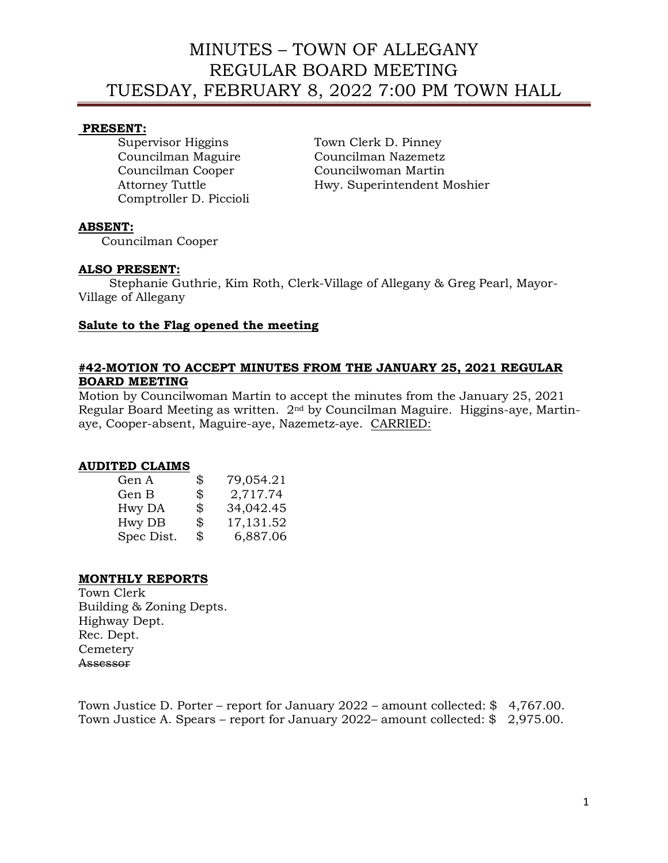#### **PRESENT:**

Comptroller D. Piccioli

Supervisor Higgins Town Clerk D. Pinney Councilman Maguire Councilman Nazemetz Councilman Cooper Councilwoman Martin Attorney Tuttle **Hwy.** Superintendent Moshier

### **ABSENT:**

Councilman Cooper

#### **ALSO PRESENT:**

 Stephanie Guthrie, Kim Roth, Clerk-Village of Allegany & Greg Pearl, Mayor-Village of Allegany

#### **Salute to the Flag opened the meeting**

### **#42-MOTION TO ACCEPT MINUTES FROM THE JANUARY 25, 2021 REGULAR BOARD MEETING**

Motion by Councilwoman Martin to accept the minutes from the January 25, 2021 Regular Board Meeting as written. 2nd by Councilman Maguire. Higgins-aye, Martinaye, Cooper-absent, Maguire-aye, Nazemetz-aye. CARRIED:

#### **AUDITED CLAIMS**

| Gen A      | \$<br>79,054.21  |
|------------|------------------|
| Gen B      | \$<br>2,717.74   |
| Hwy DA     | \$<br>34,042.45  |
| Hwy DB     | \$<br>17, 131.52 |
| Spec Dist. | \$<br>6,887.06   |

### **MONTHLY REPORTS**

Town Clerk Building & Zoning Depts. Highway Dept. Rec. Dept. **Cemetery** Assessor

Town Justice D. Porter – report for January 2022 – amount collected: \$ 4,767.00. Town Justice A. Spears – report for January 2022– amount collected: \$ 2,975.00.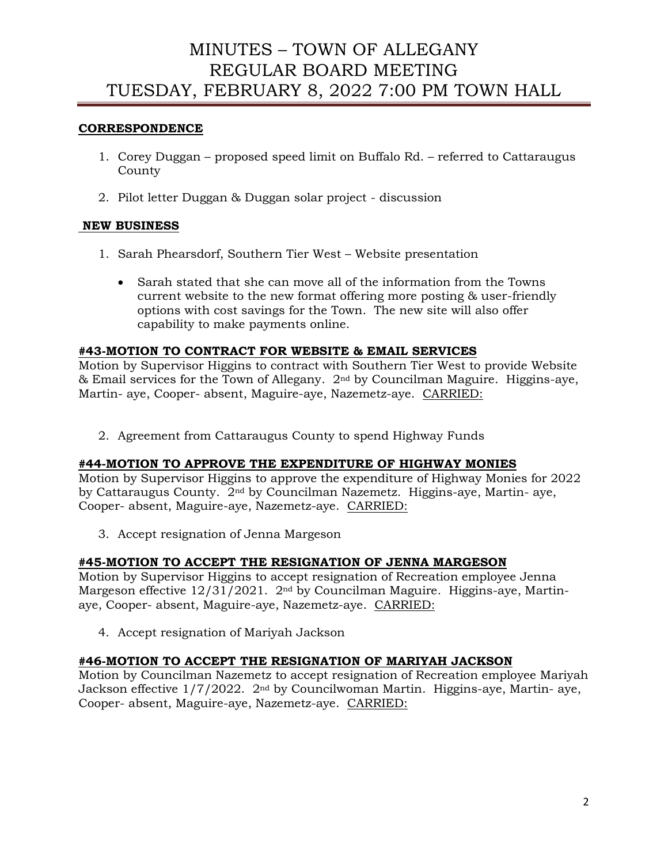### **CORRESPONDENCE**

- 1. Corey Duggan proposed speed limit on Buffalo Rd. referred to Cattaraugus County
- 2. Pilot letter Duggan & Duggan solar project discussion

## **NEW BUSINESS**

- 1. Sarah Phearsdorf, Southern Tier West Website presentation
	- Sarah stated that she can move all of the information from the Towns current website to the new format offering more posting & user-friendly options with cost savings for the Town. The new site will also offer capability to make payments online.

### **#43-MOTION TO CONTRACT FOR WEBSITE & EMAIL SERVICES**

Motion by Supervisor Higgins to contract with Southern Tier West to provide Website & Email services for the Town of Allegany. 2nd by Councilman Maguire. Higgins-aye, Martin- aye, Cooper- absent, Maguire-aye, Nazemetz-aye. CARRIED:

2. Agreement from Cattaraugus County to spend Highway Funds

### **#44-MOTION TO APPROVE THE EXPENDITURE OF HIGHWAY MONIES**

Motion by Supervisor Higgins to approve the expenditure of Highway Monies for 2022 by Cattaraugus County. 2nd by Councilman Nazemetz. Higgins-aye, Martin- aye, Cooper- absent, Maguire-aye, Nazemetz-aye. CARRIED:

3. Accept resignation of Jenna Margeson

### **#45-MOTION TO ACCEPT THE RESIGNATION OF JENNA MARGESON**

Motion by Supervisor Higgins to accept resignation of Recreation employee Jenna Margeson effective  $12/31/2021$ .  $2<sup>nd</sup>$  by Councilman Maguire. Higgins-aye, Martinaye, Cooper- absent, Maguire-aye, Nazemetz-aye. CARRIED:

4. Accept resignation of Mariyah Jackson

### **#46-MOTION TO ACCEPT THE RESIGNATION OF MARIYAH JACKSON**

Motion by Councilman Nazemetz to accept resignation of Recreation employee Mariyah Jackson effective 1/7/2022. 2nd by Councilwoman Martin. Higgins-aye, Martin- aye, Cooper- absent, Maguire-aye, Nazemetz-aye. CARRIED: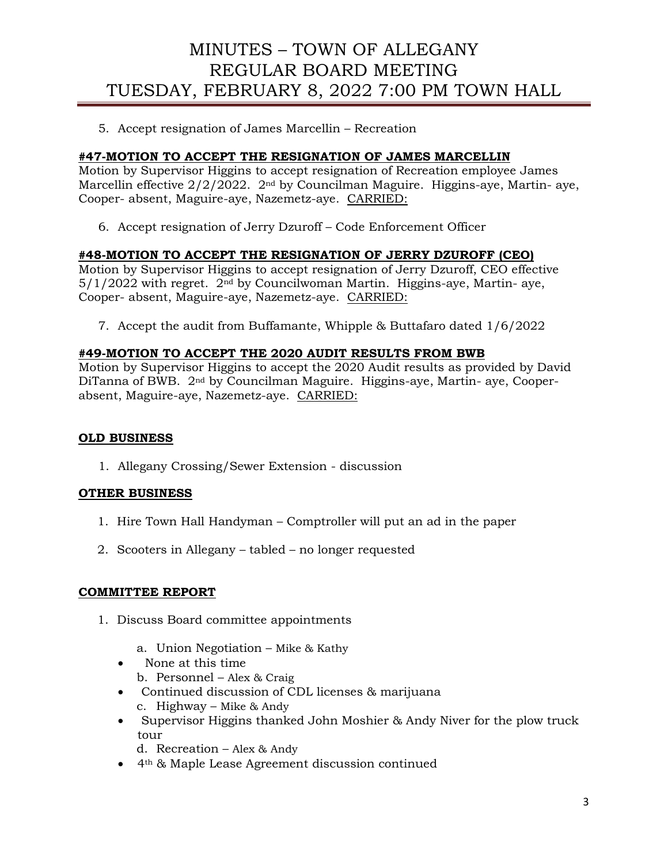5. Accept resignation of James Marcellin – Recreation

### **#47-MOTION TO ACCEPT THE RESIGNATION OF JAMES MARCELLIN**

Motion by Supervisor Higgins to accept resignation of Recreation employee James Marcellin effective 2/2/2022. 2nd by Councilman Maguire. Higgins-aye, Martin- aye, Cooper- absent, Maguire-aye, Nazemetz-aye. CARRIED:

6. Accept resignation of Jerry Dzuroff – Code Enforcement Officer

## **#48-MOTION TO ACCEPT THE RESIGNATION OF JERRY DZUROFF (CEO)**

Motion by Supervisor Higgins to accept resignation of Jerry Dzuroff, CEO effective  $5/1/2022$  with regret.  $2<sup>nd</sup>$  by Councilwoman Martin. Higgins-aye, Martin- aye, Cooper- absent, Maguire-aye, Nazemetz-aye. CARRIED:

7. Accept the audit from Buffamante, Whipple & Buttafaro dated 1/6/2022

## **#49-MOTION TO ACCEPT THE 2020 AUDIT RESULTS FROM BWB**

Motion by Supervisor Higgins to accept the 2020 Audit results as provided by David DiTanna of BWB. 2nd by Councilman Maguire. Higgins-aye, Martin- aye, Cooperabsent, Maguire-aye, Nazemetz-aye. CARRIED:

### **OLD BUSINESS**

1. Allegany Crossing/Sewer Extension - discussion

### **OTHER BUSINESS**

- 1. Hire Town Hall Handyman Comptroller will put an ad in the paper
- 2. Scooters in Allegany tabled no longer requested

### **COMMITTEE REPORT**

- 1. Discuss Board committee appointments
	- a. Union Negotiation Mike & Kathy
	- None at this time
		- b. Personnel Alex & Craig
	- Continued discussion of CDL licenses & marijuana c. Highway – Mike & Andy
	- Supervisor Higgins thanked John Moshier & Andy Niver for the plow truck tour
		- d. Recreation Alex & Andy
	- 4th & Maple Lease Agreement discussion continued